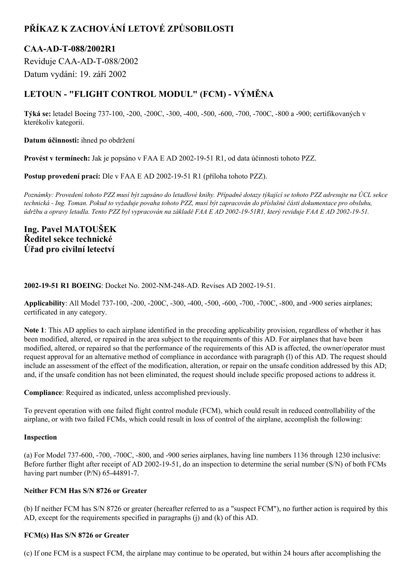# **PŘÍKAZ K ZACHOVÁNÍ LETOVÉ ZPŮSOBILOSTI**

## **CAAADT088/2002R1**

Reviduje CAA-AD-T-088/2002 Datum vydání: 19. září 2002

# **LETOUN "FLIGHT CONTROL MODUL" (FCM) VÝMĚNA**

Týká se: letadel Boeing 737-100, -200, -200C, -300, -400, -500, -600, -700, -700C, -800 a -900; certifikovaných v kterékoliv kategorii.

**Datum účinnosti:** ihned po obdržení

**Provést v termínech:** Jak je popsáno v FAA E AD 20021951 R1, od data účinnosti tohoto PZZ.

**Postup provedení prací:** Dle v FAA E AD 2002-19-51 R1 (příloha tohoto PZZ).

Poznámky: Provedení tohoto PZZ musí být zapsáno do letadlové knihy. Případné dotazy týkající se tohoto PZZ adresujte na ÚCL sekce technická - Ing. Toman. Pokud to vyžaduje povaha tohoto PZZ, musí být zapracován do příslušné části dokumentace pro obsluhu, údržbu a opravy letadla. Tento PZZ byl vypracován na základě FAA E AD 2002-19-51R1, který reviduje FAA E AD 2002-19-51.

## **Ing. Pavel MATOUŠEK Ředitel sekce technické Úřad pro civilní letectví**

### **2002-19-51 R1 BOEING:** Docket No. 2002-NM-248-AD. Revises AD 2002-19-51.

**Applicability**: All Model 737-100, -200, -200C, -300, -400, -500, -600, -700, -700C, -800, and -900 series airplanes; certificated in any category.

**Note 1**: This AD applies to each airplane identified in the preceding applicability provision, regardless of whether it has been modified, altered, or repaired in the area subject to the requirements of this AD. For airplanes that have been modified, altered, or repaired so that the performance of the requirements of this AD is affected, the owner/operator must request approval for an alternative method of compliance in accordance with paragraph (l) of this AD. The request should include an assessment of the effect of the modification, alteration, or repair on the unsafe condition addressed by this AD; and, if the unsafe condition has not been eliminated, the request should include specific proposed actions to address it.

**Compliance**: Required as indicated, unless accomplished previously.

To prevent operation with one failed flight control module (FCM), which could result in reduced controllability of the airplane, or with two failed FCMs, which could result in loss of control of the airplane, accomplish the following:

## **Inspection**

(a) For Model  $737-600$ ,  $-700$ ,  $-700C$ ,  $-800$ , and  $-900$  series airplanes, having line numbers 1136 through 1230 inclusive: Before further flight after receipt of AD 2002-19-51, do an inspection to determine the serial number (S/N) of both FCMs having part number  $(P/N)$  65-44891-7.

## **Neither FCM Has S/N 8726 or Greater**

(b) If neither FCM has S/N 8726 or greater (hereafter referred to as a "suspect FCM"), no further action is required by this AD, except for the requirements specified in paragraphs (j) and (k) of this AD.

#### **FCM(s) Has S/N 8726 or Greater**

(c) If one FCM is a suspect FCM, the airplane may continue to be operated, but within 24 hours after accomplishing the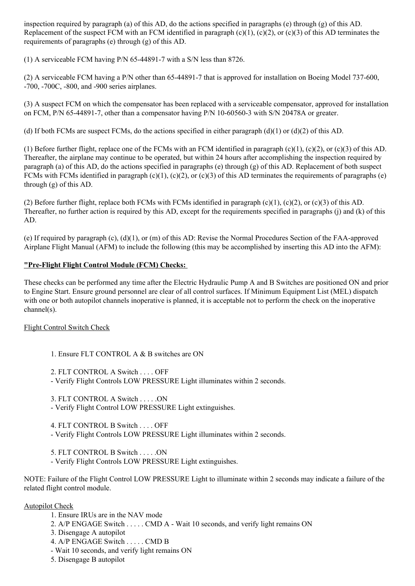inspection required by paragraph (a) of this AD, do the actions specified in paragraphs (e) through (g) of this AD. Replacement of the suspect FCM with an FCM identified in paragraph  $(c)(1)$ ,  $(c)(2)$ , or  $(c)(3)$  of this AD terminates the requirements of paragraphs (e) through (g) of this AD.

(1) A serviceable FCM having  $P/N$  65-44891-7 with a S/N less than 8726.

(2) A serviceable FCM having a P/N other than  $65-44891-7$  that is approved for installation on Boeing Model 737-600, -700, -700C, -800, and -900 series airplanes.

(3) A suspect FCM on which the compensator has been replaced with a serviceable compensator, approved for installation on FCM, P/N 65-44891-7, other than a compensator having P/N 10-60560-3 with S/N 20478A or greater.

(d) If both FCMs are suspect FCMs, do the actions specified in either paragraph  $(d)(1)$  or  $(d)(2)$  of this AD.

(1) Before further flight, replace one of the FCMs with an FCM identified in paragraph (c)(1), (c)(2), or (c)(3) of this AD. Thereafter, the airplane may continue to be operated, but within 24 hours after accomplishing the inspection required by paragraph (a) of this AD, do the actions specified in paragraphs (e) through (g) of this AD. Replacement of both suspect FCMs with FCMs identified in paragraph  $(c)(1)$ ,  $(c)(2)$ , or  $(c)(3)$  of this AD terminates the requirements of paragraphs  $(e)$ through (g) of this AD.

(2) Before further flight, replace both FCMs with FCMs identified in paragraph (c)(1), (c)(2), or (c)(3) of this AD. Thereafter, no further action is required by this AD, except for the requirements specified in paragraphs (j) and (k) of this AD.

(e) If required by paragraph (c),  $(d)(1)$ , or (m) of this AD: Revise the Normal Procedures Section of the FAA-approved Airplane Flight Manual (AFM) to include the following (this may be accomplished by inserting this AD into the AFM):

## **"PreFlight Flight Control Module (FCM) Checks:**

These checks can be performed any time after the Electric Hydraulic Pump A and B Switches are positioned ON and prior to Engine Start. Ensure ground personnel are clear of all control surfaces. If Minimum Equipment List (MEL) dispatch with one or both autopilot channels inoperative is planned, it is acceptable not to perform the check on the inoperative channel(s).

## Flight Control Switch Check

- 1. Ensure FLT CONTROL A & B switches are ON
- 2. FLT CONTROL A Switch . . . . OFF
- Verify Flight Controls LOW PRESSURE Light illuminates within 2 seconds.
- 3. FLT CONTROL A Switch . . . . .ON
- Verify Flight Control LOW PRESSURE Light extinguishes.

4. FLT CONTROL B Switch . . . . OFF Verify Flight Controls LOW PRESSURE Light illuminates within 2 seconds.

5. FLT CONTROL B Switch . . . . .ON

Verify Flight Controls LOW PRESSURE Light extinguishes.

NOTE: Failure of the Flight Control LOW PRESSURE Light to illuminate within 2 seconds may indicate a failure of the related flight control module.

## Autopilot Check

- 1. Ensure IRUs are in the NAV mode
- 2. A/P ENGAGE Switch . . . . . CMD A Wait 10 seconds, and verify light remains ON
- 3. Disengage A autopilot
- 4. A/P ENGAGE Switch . . . . . CMD B
- Wait 10 seconds, and verify light remains ON
- 5. Disengage B autopilot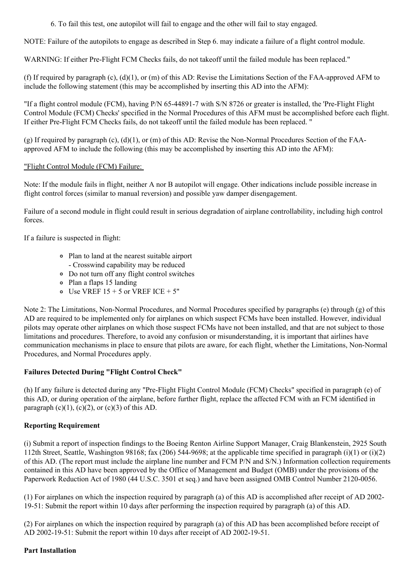6. To fail this test, one autopilot will fail to engage and the other will fail to stay engaged.

NOTE: Failure of the autopilots to engage as described in Step 6. may indicate a failure of a flight control module.

WARNING: If either Pre-Flight FCM Checks fails, do not takeoff until the failed module has been replaced."

(f) If required by paragraph (c),  $(d)(1)$ , or  $(m)$  of this AD: Revise the Limitations Section of the FAA-approved AFM to include the following statement (this may be accomplished by inserting this AD into the AFM):

"If a flight control module (FCM), having P/N 65-44891-7 with S/N 8726 or greater is installed, the 'Pre-Flight Flight Control Module (FCM) Checks' specified in the Normal Procedures of this AFM must be accomplished before each flight. If either Pre-Flight FCM Checks fails, do not takeoff until the failed module has been replaced. "

(g) If required by paragraph (c),  $(d)(1)$ , or (m) of this AD: Revise the Non-Normal Procedures Section of the FAAapproved AFM to include the following (this may be accomplished by inserting this AD into the AFM):

### "Flight Control Module (FCM) Failure:

Note: If the module fails in flight, neither A nor B autopilot will engage. Other indications include possible increase in flight control forces (similar to manual reversion) and possible yaw damper disengagement.

Failure of a second module in flight could result in serious degradation of airplane controllability, including high control forces.

If a failure is suspected in flight:

- Plan to land at the nearest suitable airport Crosswind capability may be reduced
- Do not turn off any flight control switches
- Plan a flaps 15 landing
- $\circ$  Use VREF 15 + 5 or VREF ICE + 5"

Note 2: The Limitations, Non-Normal Procedures, and Normal Procedures specified by paragraphs (e) through  $(g)$  of this AD are required to be implemented only for airplanes on which suspect FCMs have been installed. However, individual pilots may operate other airplanes on which those suspect FCMs have not been installed, and that are not subject to those limitations and procedures. Therefore, to avoid any confusion or misunderstanding, it is important that airlines have communication mechanisms in place to ensure that pilots are aware, for each flight, whether the Limitations, Non-Normal Procedures, and Normal Procedures apply.

## **Failures Detected During "Flight Control Check"**

(h) If any failure is detected during any "PreFlight Flight Control Module (FCM) Checks" specified in paragraph (e) of this AD, or during operation of the airplane, before further flight, replace the affected FCM with an FCM identified in paragraph  $(c)(1)$ ,  $(c)(2)$ , or  $(c)(3)$  of this AD.

## **Reporting Requirement**

(i) Submit a report of inspection findings to the Boeing Renton Airline Support Manager, Craig Blankenstein, 2925 South 112th Street, Seattle, Washington 98168; fax (206) 544-9698; at the applicable time specified in paragraph (i)(1) or (i)(2) of this AD. (The report must include the airplane line number and FCM P/N and S/N.) Information collection requirements contained in this AD have been approved by the Office of Management and Budget (OMB) under the provisions of the Paperwork Reduction Act of 1980 (44 U.S.C. 3501 et seq.) and have been assigned OMB Control Number 2120-0056.

(1) For airplanes on which the inspection required by paragraph (a) of this AD is accomplished after receipt of AD 2002 1951: Submit the report within 10 days after performing the inspection required by paragraph (a) of this AD.

(2) For airplanes on which the inspection required by paragraph (a) of this AD has been accomplished before receipt of AD 2002-19-51: Submit the report within 10 days after receipt of AD 2002-19-51.

#### **Part Installation**